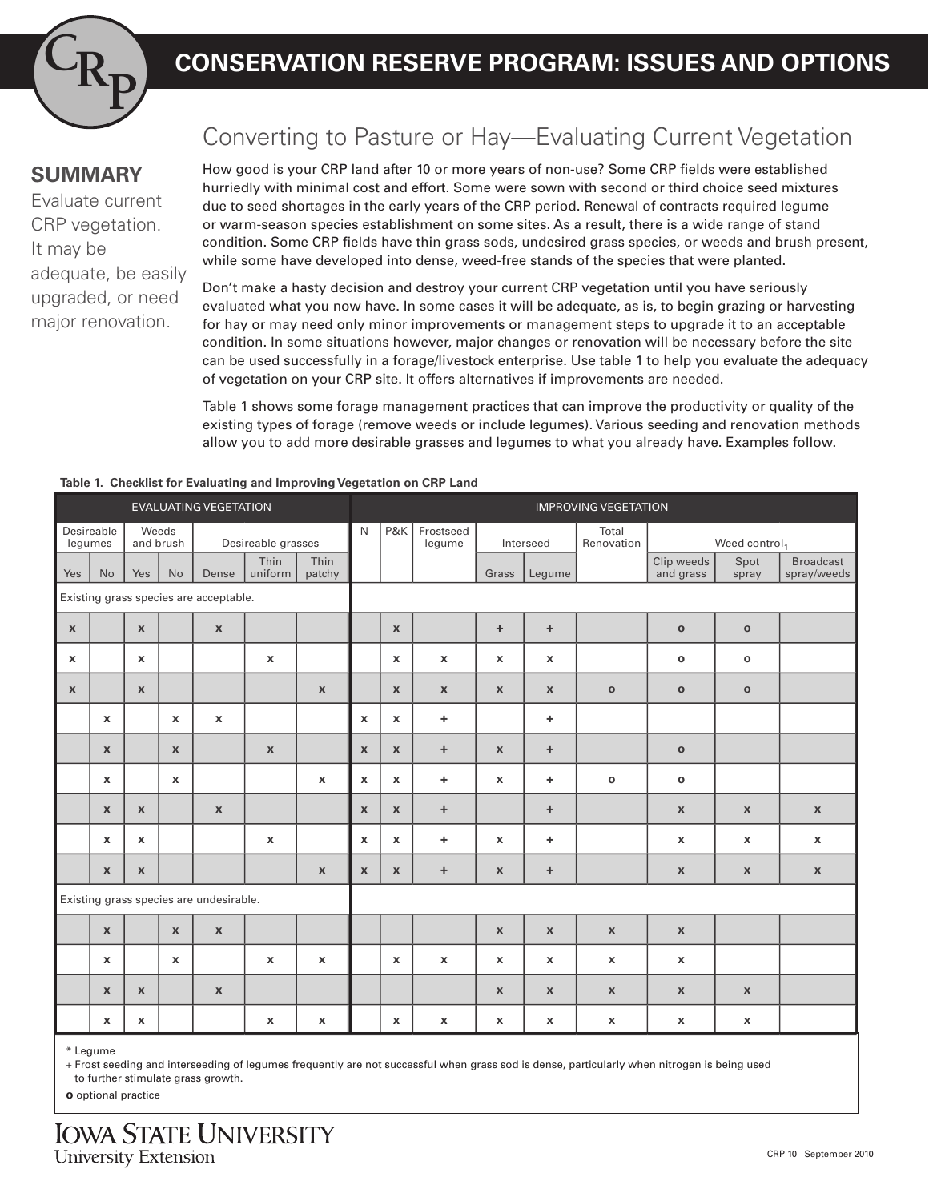

# **CR CONSERVATION RESERVE PROGRAM: ISSUES AND OPTIONS**

### **SUMMARY**

Evaluate current CRP vegetation. It may be adequate, be easily upgraded, or need major renovation.

## Converting to Pasture or Hay—Evaluating Current Vegetation

How good is your CRP land after 10 or more years of non-use? Some CRP fields were established hurriedly with minimal cost and effort. Some were sown with second or third choice seed mixtures due to seed shortages in the early years of the CRP period. Renewal of contracts required legume or warm-season species establishment on some sites. As a result, there is a wide range of stand condition. Some CRP fields have thin grass sods, undesired grass species, or weeds and brush present, while some have developed into dense, weed-free stands of the species that were planted.

Don't make a hasty decision and destroy your current CRP vegetation until you have seriously evaluated what you now have. In some cases it will be adequate, as is, to begin grazing or harvesting for hay or may need only minor improvements or management steps to upgrade it to an acceptable condition. In some situations however, major changes or renovation will be necessary before the site can be used successfully in a forage/livestock enterprise. Use table 1 to help you evaluate the adequacy of vegetation on your CRP site. It offers alternatives if improvements are needed.

Table 1 shows some forage management practices that can improve the productivity or quality of the existing types of forage (remove weeds or include legumes). Various seeding and renovation methods allow you to add more desirable grasses and legumes to what you already have. Examples follow.

#### **Table 1. Checklist for Evaluating and Improving Vegetation on CRP Land**

| <b>EVALUATING VEGETATION</b>            |                    |                    |              |                    |                           |                |              | <b>IMPROVING VEGETATION</b> |                           |                           |                           |                           |                           |                           |                                 |  |
|-----------------------------------------|--------------------|--------------------|--------------|--------------------|---------------------------|----------------|--------------|-----------------------------|---------------------------|---------------------------|---------------------------|---------------------------|---------------------------|---------------------------|---------------------------------|--|
| Desireable<br>legumes                   |                    | Weeds<br>and brush |              | Desireable grasses |                           |                | $\mathsf{N}$ | P&K                         | Frostseed<br>legume       |                           | Interseed                 | Total<br>Renovation       | Weed control <sub>1</sub> |                           |                                 |  |
| Yes                                     | <b>No</b>          | Yes                | <b>No</b>    | Dense              | Thin<br>uniform           | Thin<br>patchy |              |                             |                           | Grass                     | Legume                    |                           | Clip weeds<br>and grass   | Spot<br>spray             | <b>Broadcast</b><br>spray/weeds |  |
| Existing grass species are acceptable.  |                    |                    |              |                    |                           |                |              |                             |                           |                           |                           |                           |                           |                           |                                 |  |
| $\mathbf{x}$                            |                    | $\mathbf{x}$       |              | $\mathbf{x}$       |                           |                |              | $\mathbf{x}$                |                           | ÷.                        | ÷.                        |                           | $\mathbf{o}$              | $\mathbf{o}$              |                                 |  |
| $\mathbf{x}$                            |                    | $\pmb{\chi}$       |              |                    | $\boldsymbol{\mathsf{x}}$ |                |              | $\pmb{\chi}$                | $\pmb{\mathsf{X}}$        | $\pmb{\chi}$              | $\pmb{\chi}$              |                           | $\mathbf{o}$              | $\mathbf o$               |                                 |  |
| $\mathbf{x}$                            |                    | $\mathbf{x}$       |              |                    |                           | $\mathbf{x}$   |              | $\mathbf{x}$                | $\boldsymbol{\mathsf{x}}$ | $\mathbf{x}$              | $\mathbf{x}$              | $\mathbf{o}$              | $\mathbf{o}$              | $\mathbf{o}$              |                                 |  |
|                                         | $\mathbf{x}$       |                    | $\mathbf{x}$ | $\mathbf{x}$       |                           |                | $\mathbf{x}$ | $\mathbf{x}$                | ÷.                        |                           | ÷.                        |                           |                           |                           |                                 |  |
|                                         | $\mathbf{x}$       |                    | $\mathbf{x}$ |                    | $\boldsymbol{\mathsf{x}}$ |                | $\mathbf{x}$ | $\mathbf{x}$                | $\pm$                     | $\mathbf{x}$              | ÷.                        |                           | $\mathbf{o}$              |                           |                                 |  |
|                                         | $\pmb{\chi}$       |                    | $\mathbf{x}$ |                    |                           | $\mathbf{x}$   | $\mathbf{x}$ | $\mathbf{x}$                | $\ddot{}$                 | $\pmb{\chi}$              | ÷.                        | $\mathbf{o}$              | $\mathbf{o}$              |                           |                                 |  |
|                                         | $\mathbf x$        | $\mathbf{x}$       |              | $\mathbf{x}$       |                           |                | $\mathbf{x}$ | $\mathbf{x}$                | ÷                         |                           | ÷                         |                           | $\boldsymbol{\mathsf{x}}$ | $\mathbf{x}$              | $\pmb{\mathsf{X}}$              |  |
|                                         | $\pmb{\mathsf{X}}$ | $\pmb{\chi}$       |              |                    | $\pmb{\chi}$              |                | $\pmb{\chi}$ | $\mathbf{x}$                | ÷                         | $\pmb{\chi}$              | ÷                         |                           | $\pmb{\chi}$              | $\pmb{\chi}$              | $\pmb{\mathsf{X}}$              |  |
|                                         | $\mathbf{x}$       | $\pmb{\chi}$       |              |                    |                           | $\mathbf{x}$   | $\mathbf{x}$ | $\mathbf{x}$                | ÷                         | $\boldsymbol{\mathsf{x}}$ | ÷                         |                           | $\boldsymbol{\mathsf{x}}$ | $\pmb{\chi}$              | $\pmb{\chi}$                    |  |
| Existing grass species are undesirable. |                    |                    |              |                    |                           |                |              |                             |                           |                           |                           |                           |                           |                           |                                 |  |
|                                         | $\mathbf{x}$       |                    | $\mathbf{x}$ | $\mathbf{x}$       |                           |                |              |                             |                           | $\mathbf{x}$              | $\mathbf{x}$              | $\mathbf{x}$              | $\boldsymbol{\mathsf{x}}$ |                           |                                 |  |
|                                         | $\mathbf{x}$       |                    | $\mathbf{x}$ |                    | $\boldsymbol{\mathsf{x}}$ | $\mathbf{x}$   |              | $\mathbf{x}$                | $\pmb{\chi}$              | $\mathbf{x}$              | $\pmb{\chi}$              | $\boldsymbol{\mathsf{x}}$ | $\pmb{\chi}$              |                           |                                 |  |
|                                         | $\mathbf x$        | $\pmb{\chi}$       |              | $\mathbf{x}$       |                           |                |              |                             |                           | $\pmb{\chi}$              | $\pmb{\chi}$              | $\boldsymbol{\mathsf{X}}$ | $\boldsymbol{\mathsf{x}}$ | $\pmb{\chi}$              |                                 |  |
|                                         | x                  | $\mathbf x$        |              |                    | $\boldsymbol{\mathsf{x}}$ | x              |              | $\mathbf x$                 | $\boldsymbol{\mathsf{x}}$ | x                         | $\boldsymbol{\mathsf{x}}$ | $\mathbf x$               | $\mathbf x$               | $\boldsymbol{\mathsf{x}}$ |                                 |  |

\* Legume

+ Frost seeding and interseeding of legumes frequently are not successful when grass sod is dense, particularly when nitrogen is being used

to further stimulate grass growth.

**o** optional practice